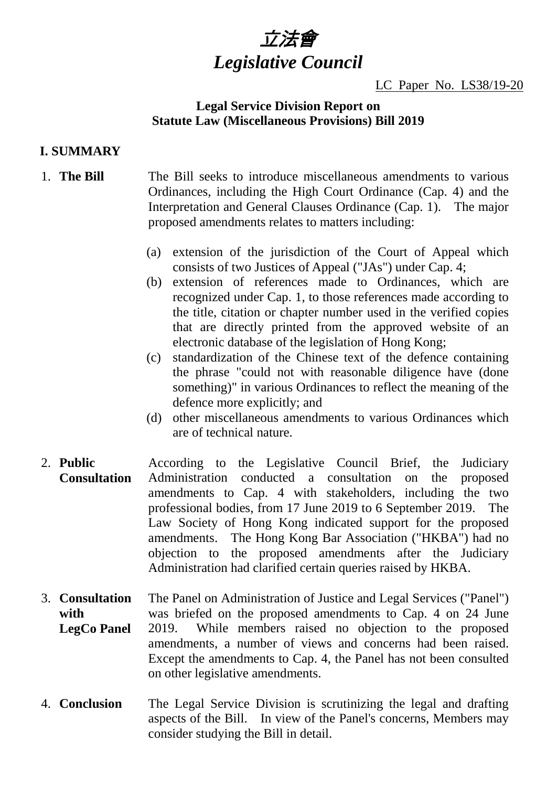# 立法會 *Legislative Council*

## LC Paper No. LS38/19-20

## **Legal Service Division Report on Statute Law (Miscellaneous Provisions) Bill 2019**

## **I. SUMMARY**

## 1. **The Bill** The Bill seeks to introduce miscellaneous amendments to various Ordinances, including the High Court Ordinance (Cap. 4) and the Interpretation and General Clauses Ordinance (Cap. 1). The major proposed amendments relates to matters including:

- (a) extension of the jurisdiction of the Court of Appeal which consists of two Justices of Appeal ("JAs") under Cap. 4;
- (b) extension of references made to Ordinances, which are recognized under Cap. 1, to those references made according to the title, citation or chapter number used in the verified copies that are directly printed from the approved website of an electronic database of the legislation of Hong Kong;
- (c) standardization of the Chinese text of the defence containing the phrase "could not with reasonable diligence have (done something)" in various Ordinances to reflect the meaning of the defence more explicitly; and
- (d) other miscellaneous amendments to various Ordinances which are of technical nature.
- 2. **Public Consultation** According to the Legislative Council Brief, the Judiciary Administration conducted a consultation on the proposed amendments to Cap. 4 with stakeholders, including the two professional bodies, from 17 June 2019 to 6 September 2019. The Law Society of Hong Kong indicated support for the proposed amendments. The Hong Kong Bar Association ("HKBA") had no objection to the proposed amendments after the Judiciary Administration had clarified certain queries raised by HKBA.
- 3. **Consultation with LegCo Panel** The Panel on Administration of Justice and Legal Services ("Panel") was briefed on the proposed amendments to Cap. 4 on 24 June 2019. While members raised no objection to the proposed amendments, a number of views and concerns had been raised. Except the amendments to Cap. 4, the Panel has not been consulted on other legislative amendments.
- 4. **Conclusion** The Legal Service Division is scrutinizing the legal and drafting aspects of the Bill. In view of the Panel's concerns, Members may consider studying the Bill in detail.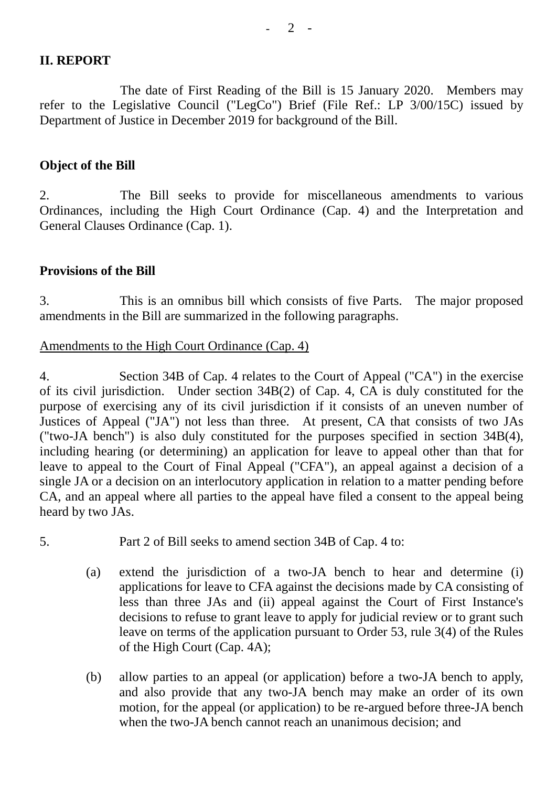## **II. REPORT**

The date of First Reading of the Bill is 15 January 2020. Members may refer to the Legislative Council ("LegCo") Brief (File Ref.: LP 3/00/15C) issued by Department of Justice in December 2019 for background of the Bill.

#### **Object of the Bill**

2. The Bill seeks to provide for miscellaneous amendments to various Ordinances, including the High Court Ordinance (Cap. 4) and the Interpretation and General Clauses Ordinance (Cap. 1).

## **Provisions of the Bill**

3. This is an omnibus bill which consists of five Parts. The major proposed amendments in the Bill are summarized in the following paragraphs.

# Amendments to the High Court Ordinance (Cap. 4)

4. Section 34B of Cap. 4 relates to the Court of Appeal ("CA") in the exercise of its civil jurisdiction. Under section 34B(2) of Cap. 4, CA is duly constituted for the purpose of exercising any of its civil jurisdiction if it consists of an uneven number of Justices of Appeal ("JA") not less than three. At present, CA that consists of two JAs ("two-JA bench") is also duly constituted for the purposes specified in section 34B(4), including hearing (or determining) an application for leave to appeal other than that for leave to appeal to the Court of Final Appeal ("CFA"), an appeal against a decision of a single JA or a decision on an interlocutory application in relation to a matter pending before CA, and an appeal where all parties to the appeal have filed a consent to the appeal being heard by two JAs.

- 5. Part 2 of Bill seeks to amend section 34B of Cap. 4 to:
	- (a) extend the jurisdiction of a two-JA bench to hear and determine (i) applications for leave to CFA against the decisions made by CA consisting of less than three JAs and (ii) appeal against the Court of First Instance's decisions to refuse to grant leave to apply for judicial review or to grant such leave on terms of the application pursuant to Order 53, rule 3(4) of the Rules of the High Court (Cap. 4A);
	- (b) allow parties to an appeal (or application) before a two-JA bench to apply, and also provide that any two-JA bench may make an order of its own motion, for the appeal (or application) to be re-argued before three-JA bench when the two-JA bench cannot reach an unanimous decision; and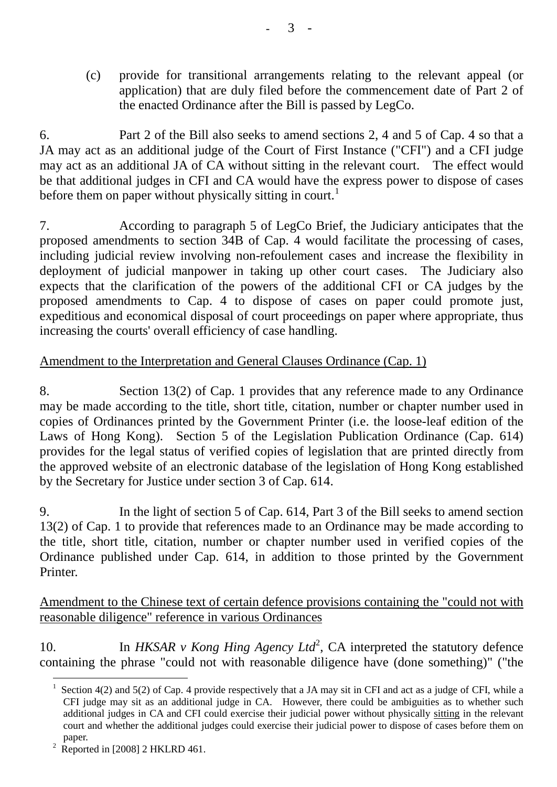(c) provide for transitional arrangements relating to the relevant appeal (or application) that are duly filed before the commencement date of Part 2 of the enacted Ordinance after the Bill is passed by LegCo.

6. Part 2 of the Bill also seeks to amend sections 2, 4 and 5 of Cap. 4 so that a JA may act as an additional judge of the Court of First Instance ("CFI") and a CFI judge may act as an additional JA of CA without sitting in the relevant court. The effect would be that additional judges in CFI and CA would have the express power to dispose of cases before them on paper without physically sitting in court.<sup>[1](#page-2-0)</sup>

7. According to paragraph 5 of LegCo Brief, the Judiciary anticipates that the proposed amendments to section 34B of Cap. 4 would facilitate the processing of cases, including judicial review involving non-refoulement cases and increase the flexibility in deployment of judicial manpower in taking up other court cases. The Judiciary also expects that the clarification of the powers of the additional CFI or CA judges by the proposed amendments to Cap. 4 to dispose of cases on paper could promote just, expeditious and economical disposal of court proceedings on paper where appropriate, thus increasing the courts' overall efficiency of case handling.

# Amendment to the Interpretation and General Clauses Ordinance (Cap. 1)

8. Section 13(2) of Cap. 1 provides that any reference made to any Ordinance may be made according to the title, short title, citation, number or chapter number used in copies of Ordinances printed by the Government Printer (i.e. the loose-leaf edition of the Laws of Hong Kong). Section 5 of the Legislation Publication Ordinance (Cap. 614) provides for the legal status of verified copies of legislation that are printed directly from the approved website of an electronic database of the legislation of Hong Kong established by the Secretary for Justice under section 3 of Cap. 614.

9. In the light of section 5 of Cap. 614, Part 3 of the Bill seeks to amend section 13(2) of Cap. 1 to provide that references made to an Ordinance may be made according to the title, short title, citation, number or chapter number used in verified copies of the Ordinance published under Cap. 614, in addition to those printed by the Government Printer.

# Amendment to the Chinese text of certain defence provisions containing the "could not with reasonable diligence" reference in various Ordinances

10. In *HKSAR v Kong Hing Agency Ltd*<sup>[2](#page-2-1)</sup>, CA interpreted the statutory defence containing the phrase "could not with reasonable diligence have (done something)" ("the

<span id="page-2-0"></span>Section 4(2) and 5(2) of Cap. 4 provide respectively that a JA may sit in CFI and act as a judge of CFI, while a CFI judge may sit as an additional judge in CA. However, there could be ambiguities as to whether such additional judges in CA and CFI could exercise their judicial power without physically sitting in the relevant court and whether the additional judges could exercise their judicial power to dispose of cases before them on paper.

<span id="page-2-1"></span> $2 \text{ Reported in } [2008]$  2 HKLRD 461.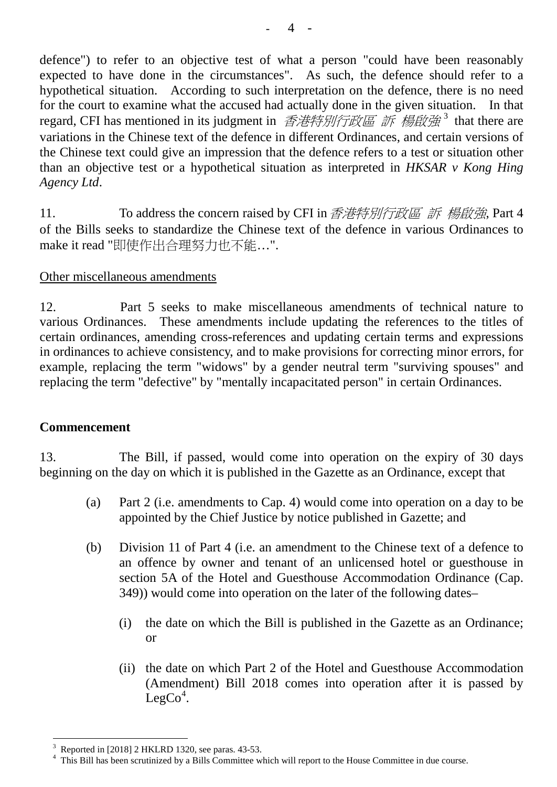defence") to refer to an objective test of what a person "could have been reasonably expected to have done in the circumstances". As such, the defence should refer to a hypothetical situation. According to such interpretation on the defence, there is no need for the court to examine what the accused had actually done in the given situation. In that regard, CFI has mentioned in its judgment in 香港特別行政區 訴 楊啟強<sup>[3](#page-3-0)</sup> that there are variations in the Chinese text of the defence in different Ordinances, and certain versions of the Chinese text could give an impression that the defence refers to a test or situation other than an objective test or a hypothetical situation as interpreted in *HKSAR v Kong Hing Agency Ltd*.

11. To address the concern raised by CFI in 香港特別行政區 訴 楊啟強, Part 4 of the Bills seeks to standardize the Chinese text of the defence in various Ordinances to make it read "即使作出合理努力也不能…".

# Other miscellaneous amendments

12. Part 5 seeks to make miscellaneous amendments of technical nature to various Ordinances. These amendments include updating the references to the titles of certain ordinances, amending cross-references and updating certain terms and expressions in ordinances to achieve consistency, and to make provisions for correcting minor errors, for example, replacing the term "widows" by a gender neutral term "surviving spouses" and replacing the term "defective" by "mentally incapacitated person" in certain Ordinances.

## **Commencement**

13. The Bill, if passed, would come into operation on the expiry of 30 days beginning on the day on which it is published in the Gazette as an Ordinance, except that

- (a) Part 2 (i.e. amendments to Cap. 4) would come into operation on a day to be appointed by the Chief Justice by notice published in Gazette; and
- (b) Division 11 of Part 4 (i.e. an amendment to the Chinese text of a defence to an offence by owner and tenant of an unlicensed hotel or guesthouse in section 5A of the Hotel and Guesthouse Accommodation Ordinance (Cap. 349)) would come into operation on the later of the following dates–
	- (i) the date on which the Bill is published in the Gazette as an Ordinance; or
	- (ii) the date on which Part 2 of the Hotel and Guesthouse Accommodation (Amendment) Bill 2018 comes into operation after it is passed by  $LegCo<sup>4</sup>$  $LegCo<sup>4</sup>$  $LegCo<sup>4</sup>$ .

<span id="page-3-1"></span><span id="page-3-0"></span>

Reported in [2018] 2 HKLRD 1320, see paras. 43-53.<br>This Bill has been scrutinized by a Bills Committee which will report to the House Committee in due course.